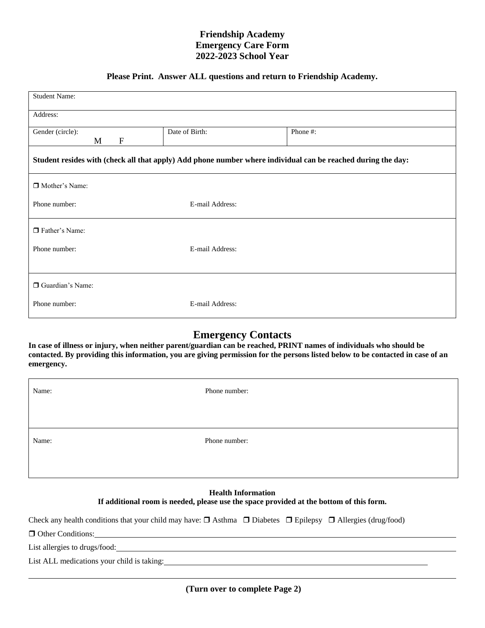## **Friendship Academy Emergency Care Form 2022-2023 School Year**

## **Please Print. Answer ALL questions and return to Friendship Academy.**

| <b>Student Name:</b>                                                                                         |                 |          |  |  |  |  |  |
|--------------------------------------------------------------------------------------------------------------|-----------------|----------|--|--|--|--|--|
| Address:                                                                                                     |                 |          |  |  |  |  |  |
| Gender (circle):<br>$\boldsymbol{\mathrm{F}}$<br>M                                                           | Date of Birth:  | Phone #: |  |  |  |  |  |
| Student resides with (check all that apply) Add phone number where individual can be reached during the day: |                 |          |  |  |  |  |  |
| □ Mother's Name:                                                                                             |                 |          |  |  |  |  |  |
| Phone number:                                                                                                | E-mail Address: |          |  |  |  |  |  |
| □ Father's Name:                                                                                             |                 |          |  |  |  |  |  |
| Phone number:                                                                                                | E-mail Address: |          |  |  |  |  |  |
|                                                                                                              |                 |          |  |  |  |  |  |
| Guardian's Name:                                                                                             |                 |          |  |  |  |  |  |
| Phone number:                                                                                                | E-mail Address: |          |  |  |  |  |  |

## **Emergency Contacts**

**In case of illness or injury, when neither parent/guardian can be reached, PRINT names of individuals who should be contacted. By providing this information, you are giving permission for the persons listed below to be contacted in case of an emergency.**

| Name: | Phone number: |
|-------|---------------|
|       |               |
| Name: |               |
|       | Phone number: |

## **Health Information If additional room is needed, please use the space provided at the bottom of this form.**

Check any health conditions that your child may have:  $\Box$  Asthma  $\Box$  Diabetes  $\Box$  Epilepsy  $\Box$  Allergies (drug/food)

**Other Conditions:** 

List allergies to drugs/food:

List ALL medications your child is taking: